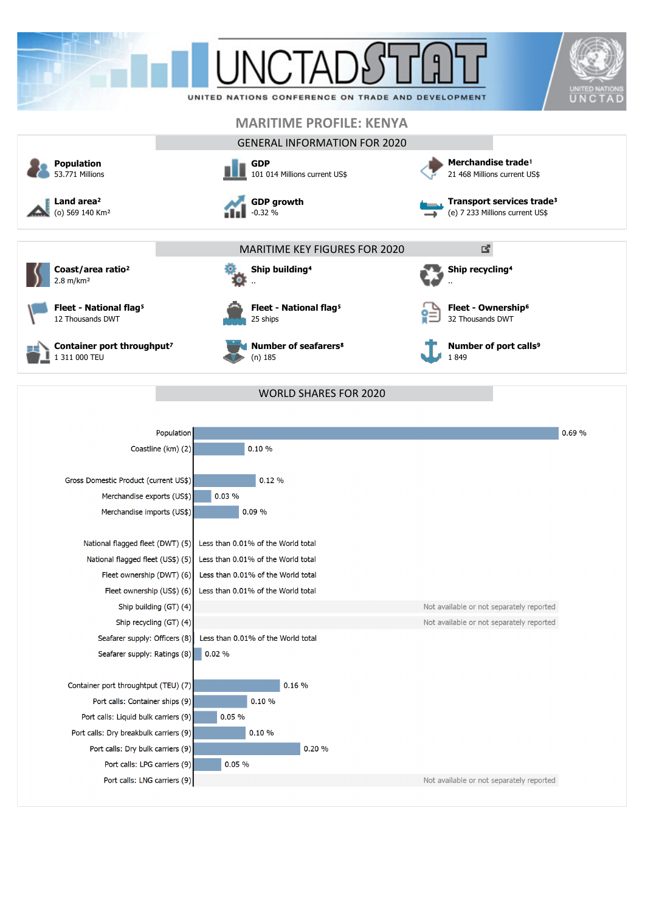



**Coast/area ratio**² 2.8 m/km²



**Fleet - National flag<sup>5</sup>** 12 Thousands DWT







**Number of seafarers**⁸ (n) 185

32 Thousands DWT

..

**Number of port calls<sup>9</sup>** 1 849

**Fleet - Ownership<sup>6</sup>** 

**Ship recycling<sup>4</sup>** 

| WORLD SHARES FOR 2020 |
|-----------------------|
|-----------------------|

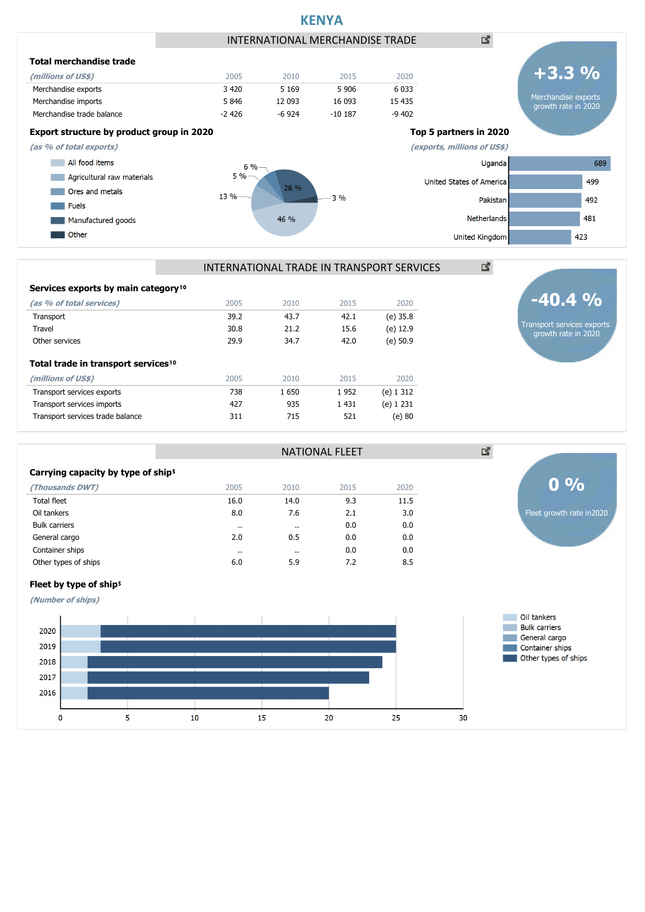

#### INTERNATIONAL TRADE IN TRANSPORT SERVICES

NATIONAL FLEET

| Services exports by main category <sup>10</sup> |      |      |         |             |
|-------------------------------------------------|------|------|---------|-------------|
| (as % of total services)                        | 2005 | 2010 | 2015    | 2020        |
| Transport                                       | 39.2 | 43.7 | 42.1    | (e) 35.8    |
| Travel                                          | 30.8 | 21.2 | 15.6    | (e) 12.9    |
| Other services                                  | 29.9 | 34.7 | 42.0    | (e) 50.9    |
| Total trade in transport services <sup>10</sup> |      |      |         |             |
| (millions of US\$)                              | 2005 | 2010 | 2015    | 2020        |
| Transport services exports                      | 738  | 1650 | 1952    | (e) 1 3 1 2 |
| Transport services imports                      | 427  | 935  | 1 4 3 1 | (e) 1 231   |
| Transport services trade balance                | 311  | 715  | 521     | (e)80       |
|                                                 |      |      |         |             |

Fleet by type of ship<sup>5</sup> **(Number of ships)**

| Carrying capacity by type of ship <sup>5</sup> |         |                      |      |      |
|------------------------------------------------|---------|----------------------|------|------|
| (Thousands DWT)                                | 2005    | 2010                 | 2015 | 2020 |
| <b>Total fleet</b>                             | 16.0    | 14.0                 | 9.3  | 11.5 |
| Oil tankers                                    | 8.0     | 7.6                  | 2.1  | 3.0  |
| <b>Bulk carriers</b>                           | $\cdot$ | $\cdot$ .            | 0.0  | 0.0  |
| General cargo                                  | 2.0     | 0.5                  | 0.0  | 0.0  |
| Container ships                                |         | $\ddot{\phantom{0}}$ | 0.0  | 0.0  |
| Other types of ships                           | 6.0     | 5.9                  | 7.2  | 8.5  |
|                                                |         |                      |      |      |



図

Transport services exports growth rate in 2020

**-40.4 %**

Fleet growth rate in2020



## **KENYA**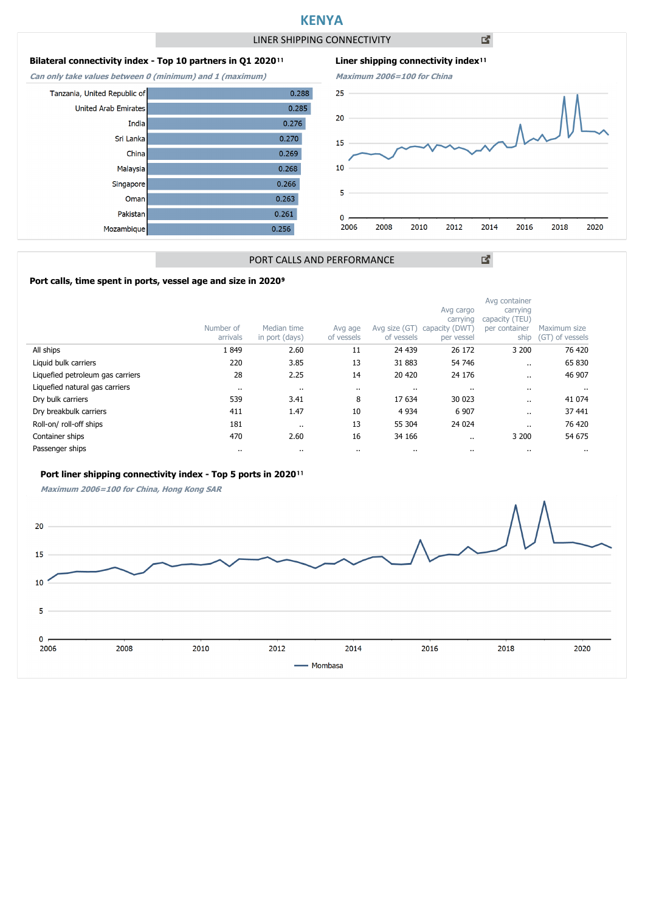## **KENYA**

LINER SHIPPING CONNECTIVITY

凶

2016

図

2018

2020

### **Bilateral connectivity index - Top 10 partners in Q1 2020**<sup>11</sup>

**Can only take values between 0 (minimum) and 1 (maximum)**

India

China

Sri Lanka

Malaysia

Singapore

Omar

Pakistan

Mozambique

Tanzania, United Republic of

**United Arab Emirates** 





#### PORT CALLS AND PERFORMANCE

#### Port calls, time spent in ports, vessel age and size in 2020<sup>9</sup>

|                                  | Number of<br>arrivals | Median time<br>in port (days) | Avg age<br>of vessels | Avg size (GT)<br>of vessels | Avg cargo<br>carrying<br>capacity (DWT<br>per vessel | Avg container<br>carrying<br>capacity (TEU)<br>per container<br>ship | Maximum size<br>(GT) of vessels |
|----------------------------------|-----------------------|-------------------------------|-----------------------|-----------------------------|------------------------------------------------------|----------------------------------------------------------------------|---------------------------------|
| All ships                        | 1849                  | 2.60                          | 11                    | 24 439                      | 26 172                                               | 3 200                                                                | 76 420                          |
| Liquid bulk carriers             | 220                   | 3.85                          | 13                    | 31 883                      | 54 746                                               | $\cdot$                                                              | 65 830                          |
| Liquefied petroleum gas carriers | 28                    | 2.25                          | 14                    | 20 420                      | 24 176                                               | $\cdot$                                                              | 46 907                          |
| Liquefied natural gas carriers   | $\cdots$              | $\cdot$                       | $\cdots$              | $\cdots$                    | $\cdots$                                             |                                                                      |                                 |
| Dry bulk carriers                | 539                   | 3.41                          | 8                     | 17 634                      | 30 023                                               |                                                                      | 41 0 74                         |
| Dry breakbulk carriers           | 411                   | 1.47                          | 10                    | 4 9 3 4                     | 6 9 0 7                                              | $\ddot{\phantom{0}}$                                                 | 37 441                          |
| Roll-on/roll-off ships           | 181                   |                               | 13                    | 55 304                      | 24 0 24                                              |                                                                      | 76 420                          |
| Container ships                  | 470                   | 2.60                          | 16                    | 34 166                      | $\ddotsc$                                            | 3 200                                                                | 54 675                          |
| Passenger ships                  | $\cdots$              |                               | $\cdot$ .             | $\cdots$                    | $\cdots$                                             | $\cdot$                                                              | $\cdots$                        |

#### Port liner shipping connectivity index - Top 5 ports in 2020<sup>11</sup>

**Maximum 2006=100 for China, Hong Kong SAR**